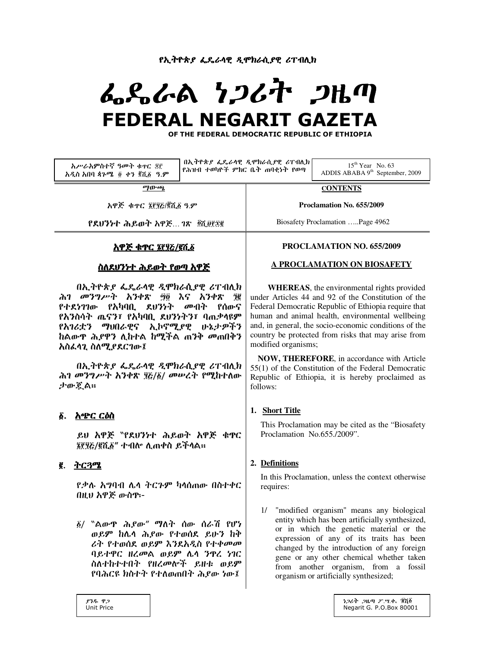<u>የኢትዮጵያ ፌዴራሳዊ ዲሞክራሲያዊ ሪፐብሊክ</u>

# ፌዴራል ነጋሪት ጋዜጣ  **FEDERAL NEGARIT GAZETA**

**OF THE FEDERAL DEMOCRATIC REPUBLIC OF ETHIOPIA** 

| አሥራአምስተኛ ዓመት ቁዋር ጃቮ<br>አዲስ አበባ ጳጉሜ ፬ ቀን ፪ሺ፩ ዓ.ም | $\left[0.000,0.000,0.000,0.000,0.000,0.000,0.000,0.000,0.000,0.000,0.000,0.000,0.000,0.000,0.000,0.000,0.000,0.000,0.000,0.000,0.000,0.000,0.000,0.000,0.000,0.000,0.000,0.000,0.000,0.000,0.000,0.000,0.000,0.000,0.000,0.000,$<br>የሕዝብ ተወካዮች ምክር ቤት ጠባቂነት የወጣ |                           | $15^{th}$ Year No. 63<br>ADDIS ABABA $9th$ September, 2009 |
|-------------------------------------------------|-----------------------------------------------------------------------------------------------------------------------------------------------------------------------------------------------------------------------------------------------------------------|---------------------------|------------------------------------------------------------|
| ማውጫ                                             |                                                                                                                                                                                                                                                                 | <b>CONTENTS</b>           |                                                            |
| አዋጅ ቁተር ፮፻፶ሯ/፪ሺ፩ ዓ.ም                            |                                                                                                                                                                                                                                                                 | Proclamation No. 655/2009 |                                                            |

የደህንነተ ሕይወት አዋጅ... ገጽ \_ጀሺ፱፻፷፪

# <u>አዋጅ ቁጥር ፤የሃሯ/፪ሺ፩</u>

# ስለደሀንነተ ሕይወት የወጣ ስዋጅ

በኢትዮጵያ ፌዴራሳዊ ዲሞክራሲያዊ ሪፐብሊክ ሕገ መንግሥት አንቀጽ ፵፬ እና አንቀጽ ຼ የተደነገገው የአካባቢ ደህንነት መብት የሰውና የአንስሳት ጤናን፣ የአካባቢ ደሀንነትን፣ ባጠቃላዩም <u>የአገሪቷን ማህበራዊና ኢኮኖሚደዊ ሁኔታዎችን</u> ከልውዋ *ሕያዋን* ሊከተል ከሚችል ጠንቅ መጠበቅን አስፌሳጊ ስለሚያደርገው፤

በኢትዮጵያ ፌዴራሳዊ ዲሞክራሲያዊ ሪፐብሊክ ሕገ መንግሥት አንቀጽ ፶፩/፩/ መሠረት የሚከተለው ታው ጀል።

# <u>ል. አጭር ርዕስ</u>

ይሀ አዋጅ 〝የደሀንነተ ሕይወት አዋጅ ቁዋር ፮፻፶፩/፪ሺ፩" ተብሎ ሊጠቀስ ይችሳል።

# הጓץُ 2**.**

የቃሉ አግባብ ሌላ ትርጉም ካላሰጠው በስተቀር በዚህ አዋጅ ውስዋ፦

 $\tilde{g}$ / "ልውዋ ሕይው" ማለት ሰው ሰራሽ የሆነ ወይም ከሌላ ሕይው የተወሰደ ይሁን ከቅ ራት የተወሰደ ወይም እንደአዲስ የተቀመመ ባይተዋር ዘረመል ወይም ሌሳ ንዋረ ነገር ስለተከተተበት የዘረመሎች ይዘቱ ወይም የባሕርዩ ክስተት የተለወጠበት ሕይው ነው፤

## **PROCLAMATION NO. 655/2009**

Biosafety Proclamation …..Page 4962

#### **A PROCLAMATION ON BIOSAFETY**

 **WHEREAS**, the environmental rights provided under Articles 44 and 92 of the Constitution of the Federal Democratic Republic of Ethiopia require that human and animal health, environmental wellbeing and, in general, the socio-economic conditions of the country be protected from risks that may arise from modified organisms;

**NOW, THEREFORE**, in accordance with Article 55(1) of the Constitution of the Federal Democratic Republic of Ethiopia, it is hereby proclaimed as follows:

# **1. Short Title**

This Proclamation may be cited as the "Biosafety Proclamation No.655./2009".

# **2. Definitions**

In this Proclamation, unless the context otherwise requires:

1/ "modified organism'' means any biological entity which has been artificially synthesized, or in which the genetic material or the expression of any of its traits has been changed by the introduction of any foreign gene or any other chemical whether taken from another organism, from a fossil organism or artificially synthesized;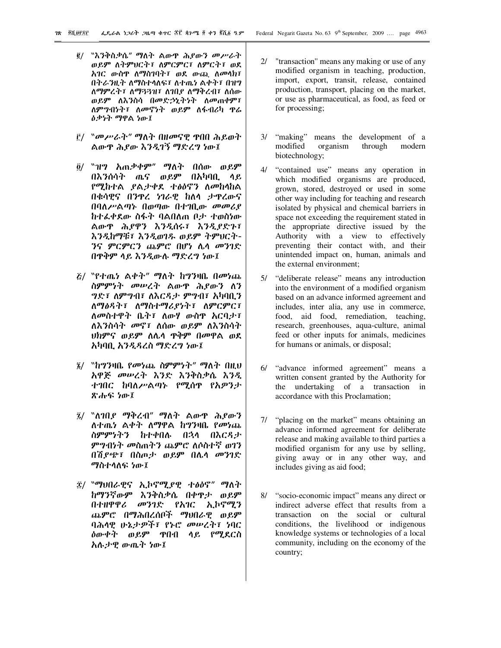- ፪/ "እንቅስቃሴ" ማለት ልውዋ ሕያውን መሥራት ወይም ለትምህርት፣ ለምርምር፣ ለምርት፣ ወደ አገር ውስዋ ለማስገባት፣ ወደ ውጪ ለመሳክ፣ በትራንዚት ለማስተላለፍ፣ ለተጨነ ልቀት፣ በዝግ ለማምረት፣ ለማጓጓዝ፣ ለገበደ ለማቅረብ፣ ለሰው ወይም ለእንስሳ በመድኃኒትነት ለመጠቀም፣ ለምግብነት፣ ለመኖነት ወይም ለፋብሪካ ዋሬ <u>ዕቃነት ማዋል ነው፤</u>
- f/ "መሥራት" ማለት በዘመናዊ ዋበበ ሕይወት ልውዋ ሕደው እንዲገኝ ማድረግ ነው፤
- ô/ ``ዝግ አጠቃቀም" ማለት በሰው ወይ**ም** በእንሰሳት ጤና ወይም በአካባቢ ላይ የሚከተል ያልታቀደ ተፅዕኖን ለመከላከል በቁሳዊና በንዋረ ነገራዊ ከለሳ ታዋረውና በባለሥልጣኑ በወጣው በተገቢው መመሪያ ከተፌቀደው ስፋት ባልበለጠ ቦታ ተወስነው ልውዋ ሕያዋን እንዲሰሩ፣ እንዲያድጉ፣ እንዲከማቹ፣ እንዲወገዱ ወይም ትምህርት-*ንና ምርምርን ጨምሮ በሆነ ሌላ መንገድ* በዋቅም ላይ እንዲውሉ ማድረግ ነው፤
- *ξ/ ``የተጤነ ልቀት'' ማ*ለት ከግንዛቤ በመነጨ ስምምነት መሠረት ልውዋ ሕያውን ለን *ግድ*፣ ለም*ግ*ብ፣ ለእርዳታ ምግብ፣ አካባቢን ለማፅዳት፣ ለማስተማሪያነት፣ ለምርምር፣ ለመስተዋት ቤት፣ ለውሃ ውስዋ አርባታ፣ ለእንስሳት መኖ፣ ለሰው ወይም ለእንስሳት ህክምና ወይም ለሌሳ ዋቅም በመዋል ወደ አካባቢ አንዲዳረስ ማድረግ ነው፤
- ፯/ "ከግንዛቤ የመነጨ ስምምነት" ማለት በዚህ አዋጅ መሠረት እንድ እንቅስቃሴ እንዲ ተገበር ከባለሥልጣኑ የሚሰዋ የአዎንታ ጽሑፍ ነው፤
- ፯/ "ስገቢያ ማቅረብ" ማስት ልውዋ ሕያውን ለተጤ*ነ* ልቀት ለማዋል ከግንዛቤ የመነጨ ስምምነትን ከተቀበሉ በኋላ በእርዳታ ምግብነት መስጠትን ጨምሮ ለሶስተኛ ወገን በሽያጭ፣ በስጦታ ወይም በሌላ መንገድ ማስተሳለፍ ነው፤
- ፰/ ``ማህበራዊና ኢኮኖሚያዊ ተፅዕኖ" ማለት ከማንኛውም እንቅስቃሴ በቀዋታ ወይም በተዘዋዋሪ መንገድ የአገር ኢኮኖሚን ጨምሮ በማሕበረሰቦች ማህበራዊ ወይም ባሕላዊ ሁኔታዎች፣ የኑሮ መሠረት፣ ነባር *ለ*ውቀት ወይ**ም ዋ**በብ ላይ የሚደርስ አሉታዊ ውጤት ነው፤
- 2/ "transaction" means any making or use of any modified organism in teaching, production, import, export, transit, release, contained production, transport, placing on the market, or use as pharmaceutical, as food, as feed or for processing;
- 3/ "making" means the development of a modified organism through modern biotechnology;
- 4/ "contained use" means any operation in which modified organisms are produced, grown, stored, destroyed or used in some other way including for teaching and research isolated by physical and chemical barriers in space not exceeding the requirement stated in the appropriate directive issued by the Authority with a view to effectively preventing their contact with, and their unintended impact on, human, animals and the external environment:
- $5/$ "deliberate release" means any introduction into the environment of a modified organism based on an advance informed agreement and includes, inter alia, any use in commerce, food, aid food, remediation, teaching, research, greenhouses, aqua-culture, animal feed or other inputs for animals, medicines for humans or animals, or disposal;
- 6/ "advance informed agreement" means a written consent granted by the Authority for the undertaking of a transaction in accordance with this Proclamation:
- 7/ "placing on the market" means obtaining an advance informed agreement for deliberate release and making available to third parties a modified organism for any use by selling, giving away or in any other way, and includes giving as aid food;
- 8/ "socio-economic impact" means any direct or indirect adverse effect that results from a transaction on the social or cultural conditions, the livelihood or indigenous knowledge systems or technologies of a local community, including on the economy of the country;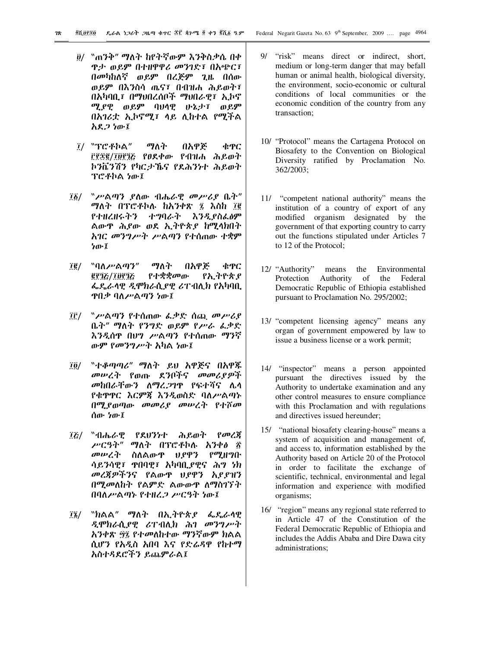- ፱/ 〝ጠንቅ″ ማለት ከየትኛውም እንቅስቃሴ በቀ ዋታ ወይም በተዘዋዋሪ መንገድ፣ በአጭር፣ በመካከለኛ ወይም በረጅም ጊዜ በሰው ወይም በእንስሳ ጤና፣ በብዝሐ ሕይወት፣ በአካባቢ፣ በማህበረሰቦች ማህበራዊ፣ ኢኮኖ ሚያዊ ወይም ባህሳዊ ሁኔታ፣ ወይም በእገሪቷ ኢኮኖሚ፣ ላይ ሊከተል የሚችል አደ*ጋ ነ*ው፤
- $I$ / ``ፕሮቶኮል" ማለት በአዋጅ ቁዋር ffgg/ipf1& የፀደቀው የብዝሐ ሕይወት ኮንቬንሽን የካርታኼና የደሕንነተ ሕይወት ፕሮቶኮል ነው፤
- $\overline{16}/$  "ሥልጣን ያስው ብሔራዊ መሥሪያ ቤት" ማለት በፕሮቶኮሉ ከአንቀጽ ፯ እስከ ፲፪ የተዘረዘሩትን ተግባራት እንዲያስፌፅም ልውዋ ሕያው ወደ ኢትዮጵያ ከሚላክበት አገር መንግሥት ሥልጣን የተሰጠው ተቋም ው፤
- ፲፪/ "ባለሥልጣን" ማለት በአዋጅ ቁዋር <u> 0932/10932</u> የተቋቋመው የኢትዮጵ*ያ* ፌዴራሳዊ ዲሞክራሲያዊ ሪፐብሊክ የአካባቢ ዋቢቃ ባለሥልጣን ነው፤
- ፲፫/ ᠉ሥልጣን የተሰጠው ፌቃድ ሰጪ መሥሪያ ቤት" ማለት የንግድ ወይም የሥራ ፌቃድ እንዲሰዋ በሀግ ሥልጣን የተሰጠው ማንኛ ውም የመንግሥት አካል ነው፤
- ፲፬/ "ተቆጣጣሪ" ማለት ይህ አዋጅና በአዋጁ መሠረት የወጡ ደንቦችና መመሪያዎች *መከበራቸውን ለማረጋግ*ዋ የፍተሻና ሌሳ የቁዋዋር እርምጃ እንዲወስድ ባለሥልጣኑ በሚያወጣው መመሪያ መሠረት የተሾመ ሰው ነው፤
- ፲፪/ "ብሔራዊ የደሀንነተ ሕይወት የመረጃ ሥርዓት" ማለት በፕሮቶኮሉ አንቀፅ ፳ መሥረት ስለልውዋ ህያዋን የሚዘግቡ ሳይንሳዊ፣ ዋበባዊ፣ አካባቢ,የዊና ሕግ ነክ መረጀዎችንና የልውዋ ህያዋን አያያዝን በሚመለከት የልምድ ልውውዋ ለማስገኘት በባለሥልጣኑ የተዘረ*ጋ ሥርዓት ነ*ው፤
- ፲፮/ "ክልል" ማለት በኢትዮጵያ ፌዴራሳዊ ዲሞክራሲያዊ ሪፐብሊክ ሕገ መንግሥት አንቀጽ ፵፯ የተመለከተው ማንኛውም ክልል ሲሆን የአዲስ አበባ እና የድሬዳዋ የከተማ አስተዳደሮችን ይጨምራል፤
- 9/ "risk" means direct or indirect, short, medium or long-term danger that may befall human or animal health, biological diversity, the environment, socio-economic or cultural conditions of local communities or the economic condition of the country from any transaction;
- 10/ "Protocol" means the Cartagena Protocol on Biosafety to the Convention on Biological Diversity ratified by Proclamation No. 362/2003;
- 11/ "competent national authority" means the institution of a country of export of any modified organism designated by the government of that exporting country to carry out the functions stipulated under Articles 7 to 12 of the Protocol;
- 12/ "Authority" means the Environmental Protection Authority of the Federal Democratic Republic of Ethiopia established pursuant to Proclamation No. 295/2002;
- 13/ "competent licensing agency" means any organ of government empowered by law to issue a business license or a work permit;
- 14/ "inspector" means a person appointed pursuant the directives issued by the Authority to undertake examination and any other control measures to ensure compliance with this Proclamation and with regulations and directives issued hereunder;
- 15/ "national biosafety clearing-house" means a system of acquisition and management of, and access to, information established by the Authority based on Article 20 of the Protocol in order to facilitate the exchange of scientific, technical, environmental and legal information and experience with modified organisms;
- 16/ "region" means any regional state referred to in Article 47 of the Constitution of the Federal Democratic Republic of Ethiopia and includes the Addis Ababa and Dire Dawa city administrations;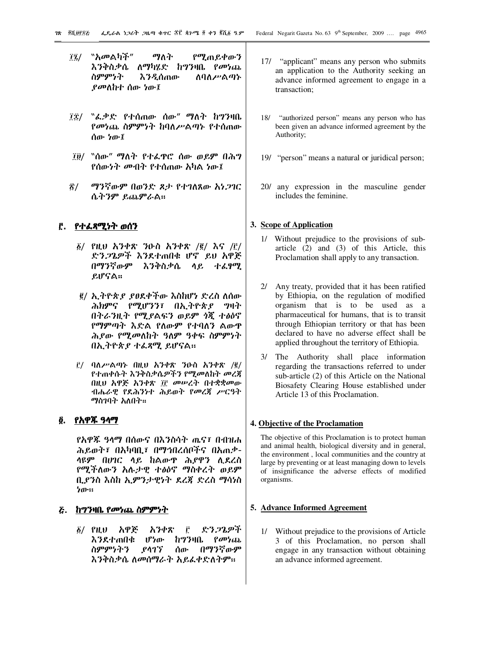- $\tilde{H}$  $\tilde{Z}$ /  $\tilde{Z}$   $\tilde{Z}$   $\tilde{Z}$   $\tilde{Z}$   $\tilde{Z}$   $\tilde{Z}$   $\tilde{Z}$   $\tilde{Z}$   $\tilde{Z}$   $\tilde{Z}$   $\tilde{Z}$   $\tilde{Z}$   $\tilde{Z}$   $\tilde{Z}$   $\tilde{Z}$   $\tilde{Z}$   $\tilde{Z}$   $\tilde{Z}$   $\tilde{Z}$   $\tilde{Z}$   $\tilde{Z}$   $\tilde{Z}$   $\tilde$ እንቅስቃሴ ለማካሂድ ከግንዛቤ የ*መነ*ጨ ስምምነት እንዲሰጠው ስባለሥልጣኑ ያመለከተ ሰው ነው፤
- $\tilde{R}$  "ፈ.ቃድ የተሰጠው ሰው" ማለት ከግንዛቤ የመነጨ ስ**ምምነት ከባለ**ሥልጣኑ የተሰጠው ሰው ነው፤
- ፲፱/ "ሰው" ማለት የተራዋሮ ሰው ወይም በሕግ የሰውንት መብት የተሰጠው እካል ነው፤
- ፳/ ማንኛውም በወንድ ጾታ የተገለጸው እነጋገር ሴትንም ይጨምራል።

## <u>ሮ</u>. የተፈጻሚነት ወሰን

- $\tilde{g}/$  የዚህ አንቀጽ ንዑስ አንቀጽ /፪/ እና /፫/ ድን*ጋ*ጌዎች እንደተጠበቁ ሆኖ ይህ አዋጅ በማንኛውም እንቅስቃሴ ላይ ተፈፃሚ ይሆናል።
- e/ ኢትዮጵ*ያ ያፀ*ደቀችው እስከሆነ ድረስ ለሰው ሕክምና የሚሆንን፣ በኢትዮጵያ ግዛት በትራንዚት የሚያልፍን ወይም ጎጂ ተፅዕኖ የማምጣት እድል የለውም የተባለን ልውዋ ሕያው የሚመለከት ዓለም ዓቀፍ ስምምነት በኢትዮጵያ ተፈጻሚ ይሆናል።
- $\bar{g}$ / ባለሥልጣኑ በዚህ አንቀጽ ንዑስ አንቀጽ / $\bar{g}$ / የተጠቀሱት እንቅስቃሴዎችን የሚመለከት መረጃ በዚህ አዋጅ አንቀጽ ፲፫ መሥረት በተቋቋመው ብሔራዊ የደሕንነተ ሕይወት የመረጃ ሥርዓት ማስገባት አለበት።

# ፬. የአዋጁ ዓላማ

የአዋጁ ዓላማ በሰውና በእንስሳት ጤና፣ በብዝሐ ሕይወት፣ በአካባቢ፣ በማኅበረሰቦችና በአጠቃ-ሳዩም በሆገር ሳይ ከልውዋ ሕደዋን ሲደረስ የሚችለውን አሉታዊ ተፅዕኖ ማስቀረት ወይም ቢያንስ እስከ ኢምንታዊነት ደረጃ ድረስ ማሳነስ ነው።

#### $\delta$ . ከግንዛቤ የመነጨ ስምምነት

፩/ የዚህ አዋጅ አንቀጽ ፫ ድን*ጋ*ጌዎች እንደተጠበቁ ሆነው ከግንዛቤ *የመነ*ጨ ስምምነትን ያሳገኘ ሰው በማንኛውም እንቅስቃሴ ለመሰማራት አይፌቀድለትም።

- 17/ "applicant" means any person who submits an application to the Authority seeking an advance informed agreement to engage in a transaction;
- 18/ "authorized person" means any person who has been given an advance informed agreement by the Authority;
- 19/ "person" means a natural or juridical person;
- 20/ any expression in the masculine gender includes the feminine.

## **3. Scope of Application**

- 1/ Without prejudice to the provisions of subarticle (2) and (3) of this Article, this Proclamation shall apply to any transaction.
- 2/ Any treaty, provided that it has been ratified by Ethiopia, on the regulation of modified organism that is to be used as a pharmaceutical for humans, that is to transit through Ethiopian territory or that has been declared to have no adverse effect shall be applied throughout the territory of Ethiopia.
- 3/ The Authority shall place information regarding the transactions referred to under sub-article (2) of this Article on the National Biosafety Clearing House established under Article 13 of this Proclamation.

## **4. Objective of the Proclamation**

The objective of this Proclamation is to protect human and animal health, biological diversity and in general, the environment , local communities and the country at large by preventing or at least managing down to levels of insignificance the adverse effects of modified organisms.

## **5. Advance Informed Agreement**

1/ Without prejudice to the provisions of Article 3 of this Proclamation, no person shall engage in any transaction without obtaining an advance informed agreement.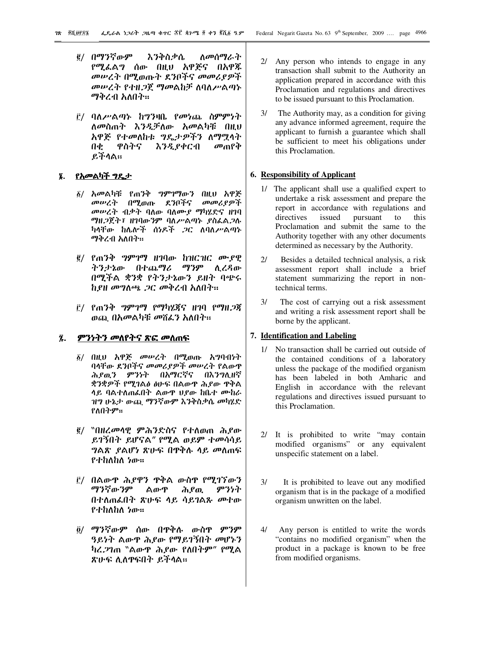- ፪/ በማንኛውም እንቅስቃሴ ለመሰማራት የሚፌልግ ሰው በዚህ አዋጅና በአዋጁ መሠረት በሚወጡት ደንቦችና መመሪያዎች መሠረት የተዘጋጀ ማመልከቻ ለባለሥልጣኑ ማቅረብ አለበት።
- ፫/ ባለ*ሥ*ልጣኑ ከግንዛቤ የመነጨ ስምምነት ለመስጠት እንዲቻለው አመልካቹ በዚህ አዋጅ የተመለከቱ ግዴታዎችን ለማሟላት  $\mathbf{0} \Phi$ ዋስትና እንዲያቀርብ መጠየቅ ይችሳል።

## ፮. የአመልካች ግ<u>ዴታ</u>

- ፩/ አመልካቹ የጠንቅ *ግ*ምገማውን በዚህ አዋጅ መሠረት በሚወጡ ደንቦችና መመሪያዎች መሥረት ብቃት ባለው ባለሙያ ማካሄድና ዘገባ ማዚጋጀት፣ ዘገባውንም ባለሥልጣኑ ያስፌልጋሉ ካላቸው ከሌሎች ሰነዶች *ጋ*ር ለባለ*ሥ*ልጣኑ ማቅረብ አለበት።
- ፪/ የጠንቅ ግምገማ ዘገባው ከዝርዝር ሙያዊ ትንታኔው በተጨማሪ ማንም ሲረዳው በሚችል ቋንቋ የትንታኔውን ይዘት ባጭሩ ከያዘ መግለጫ ጋር መቅረብ አለበት።
- <u>፫/ የ</u>ጠንቅ *ግምገማ የማካሄጀና ዘገ*ባ የማዘ*ጋጀ* ወጪ በአመልካቹ መሽፌን አለበት።

#### ፯. ምንነትን መለየትና ጽፎ መስጠፍ

- ፩/ በዚህ አዋጅ *መሡረት* በሚወጡ አግባብነት ባላቸው ደንቦችና መመሪያዎች መሠረት የልውዋ ሕደዉን ምንነት በአማርኛና በእንግሊዘኛ ቋንቋዎች የሚገልፅ ፅሁፍ በልውዋ ሕደው ዋቅል ላይ ባልተለጠፌበት ልውዋ ሀያው ከቤተ ሙከራ ዝግ ሁኔ*ታ* ውጪ *ግ*ንኛውም እንቅስቃሴ መካሄድ የለበትም።
- ፪/ ``በዘረመሳዊ ምሕንድስና የተለወጠ ሕይው ይገኝበት ይሆናል" የሚል ወይም ተመሳሳይ *ግ*ልጽ *ያ*ልሆነ ጽሁፍ በዋቅሉ ሳይ መስጠፍ የተከለከለ ነው።
- ፫/ በልውዋ ሕ*ያዋን* ዋቅል ውስዋ የሚገኘውን ማንኛውንም ልውዋ ሕያዉ ምንነት በተለጠፌበት ጽሁፍ ሳይ ሳይገልጹ መተው የተከለከለ ነው።
- <u>ō/ ማንኛውም ሰው በዋቅሉ ውስዋ ምንም</u> ዓይነት ልውዋ ሕደው የማይገኝበት መሆኑን ካረ.2ገጠ "ልውዋ ሕያው የለበትም" የሚል ጽሁፍ ሊለዋፍበት ይችላል።
- 2/ Any person who intends to engage in any transaction shall submit to the Authority an application prepared in accordance with this Proclamation and regulations and directives to be issued pursuant to this Proclamation.
- $3/$ The Authority may, as a condition for giving any advance informed agreement, require the applicant to furnish a guarantee which shall be sufficient to meet his obligations under this Proclamation.

## 6. Responsibility of Applicant

- 1/ The applicant shall use a qualified expert to undertake a risk assessment and prepare the report in accordance with regulations and pursuant to directives issued this Proclamation and submit the same to the Authority together with any other documents determined as necessary by the Authority.
- Besides a detailed technical analysis, a risk  $2l$ assessment report shall include a brief statement summarizing the report in nontechnical terms.
- $3/$ The cost of carrying out a risk assessment and writing a risk assessment report shall be borne by the applicant.

# 7. Identification and Labeling

- 1/ No transaction shall be carried out outside of the contained conditions of a laboratory unless the package of the modified organism has been labeled in both Amharic and English in accordance with the relevant regulations and directives issued pursuant to this Proclamation.
- 2/ It is prohibited to write "may contain modified organisms" or any equivalent unspecific statement on a label.
- $3/$ It is prohibited to leave out any modified organism that is in the package of a modified organism unwritten on the label.
- $4/$ Any person is entitled to write the words "contains no modified organism" when the product in a package is known to be free from modified organisms.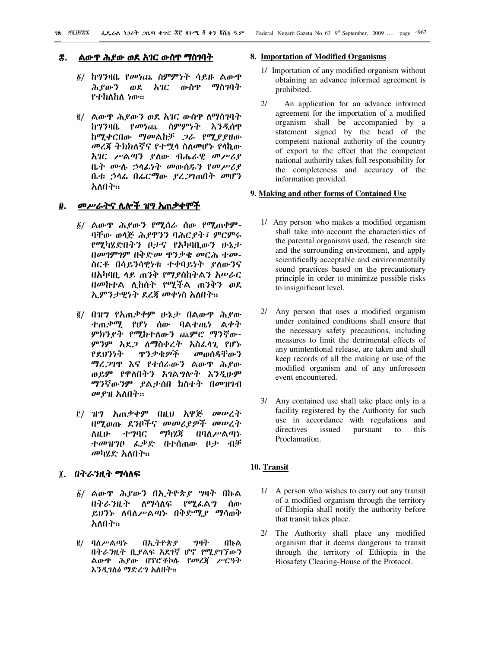#### ፰. ልውዋ ሕያው ወደ አገር ውስዋ ማስገባት

- $\S$ / ከግንዛቤ የመነጨ ስምምነት ሳይዙ ልውዋ ሕደውን ወደ አገር ውስዋ ማስገባት የተከለከለ ነው።
- ፪/ ልውዋ ሕያውን ወደ አገር ውስዋ ለማስገባት ከግንዛቤ የመነጨ ስምምነት እንዲሰዋ ከሚቀርበው ማመልከቻ *ጋ*ራ የሚያያዘው መረጃ ትክክለኛና የተሟሳ ስለመሆኑ የሳኪው እገር ሥልጣን ያለው ብሔራዊ መሥሪያ ቤት ሙሉ ኃሳፊነት መውሰዱን የመሥሪያ ቤቱ ኃላፊ በፊርማው ያረጋገጠበት መሆን አለበት።

#### ፱. *- መሥራትና* ሌሎች ዝግ አጠቃቀሞች

- $\delta/$  ልውዋ ሕይውን የሚሰራ ሰው የሚጠቀም-ባቸው ወሳጅ ሕያዋንን ባሕርያት፣ ምርምሩ የሚካሄድበትን ቦታና የአካባቢውን ሁኔታ በመገምገም በቅድመ ዋንቃቄ መርሕ ተመ-ስርቶ በሳይንሳዊነቱ ተቀባይነት ያለውንና በአካባቢ ላይ ጠንቅ የማያስከትልን አሥራር በመከተል ሊከሰት የሚችል ጠንቅን ወደ ኢምንታዊነት ደረጃ መቀነስ አለበት።
- ፪/ በዝግ የአጠቃቀም ሁኔታ በልውዋ ሕይው ቲጠ*ቃሚ* የሆነ ሰው ባልተጤነ ልቀት ምክንያት የሚከተለውን ጨምሮ ማንኛው-ምንም አደ*ጋ* ስማስቀረት አስፈላጊ የሆኑ የደሀንነት ዋንቃቄዎች መወሰዳቸውን ማረ*ጋገ*ዋ እና የተሰራውን ልውዋ ሕይው ወይም የዋለበትን አገልግሎት እንዲሁም ማንኛውንም *ያ*ልታሰበ ክስተት በመዝገብ መያዝ አለበት።
- ፫/ ዝግ አጠቃቀም በዚህ አዋጅ መሠረት በሚወጡ ደንቦችና መመሪያዎች መሠረት ለዚሁ ተግባር ማካሄጃ በባለሥልጣኑ ተመዝግቦ ፌቃድ በተሰጠው ቦታ ብቻ መካሂድ አለበት።

## ፲. በትራንዚት ማሳለ<u>ፍ</u>

- $\delta$ / ልውዋ ሕይውን በኢትዮጵያ ግዛት በኩል በትራንዚት ስማሳለፍ የሚፌልግ ሰው ይሆንኑ ለባለሥልጣኑ በቅድሚ*ያ* ማሳወቅ አለበት።
- ፪/ ባለሥልጣኑ በኢትዮጵያ ግዛት በኩል በትራንዚት ቢያልፍ አደገኛ ሆኖ የሚያገኘውን ልውዋ ሕያው በፕሮቶኮሉ የመረጃ ሥርዓት እንዲገለፅ ማድረግ አለበት።

#### **8. Importation of Modified Organisms**

- 1/ Importation of any modified organism without obtaining an advance informed agreement is prohibited.
- 2/ An application for an advance informed agreement for the importation of a modified organism shall be accompanied by a statement signed by the head of the competent national authority of the country of export to the effect that the competent national authority takes full responsibility for the completeness and accuracy of the information provided.

# **9. Making and other forms of Contained Use**

- 1/ Any person who makes a modified organism shall take into account the characteristics of the parental organisms used, the research site and the surrounding environment, and apply scientifically acceptable and environmentally sound practices based on the precautionary principle in order to minimize possible risks to insignificant level.
- 2/ Any person that uses a modified organism under contained conditions shall ensure that the necessary safety precautions, including measures to limit the detrimental effects of any unintentional release, are taken and shall keep records of all the making or use of the modified organism and of any unforeseen event encountered.
- 3/ Any contained use shall take place only in a facility registered by the Authority for such use in accordance with regulations and directives issued pursuant to this Proclamation.

## **10. Transit**

- 1/ A person who wishes to carry out any transit of a modified organism through the territory of Ethiopia shall notify the authority before that transit takes place.
- 2/ The Authority shall place any modified organism that it deems dangerous to transit through the territory of Ethiopia in the Biosafety Clearing-House of the Protocol.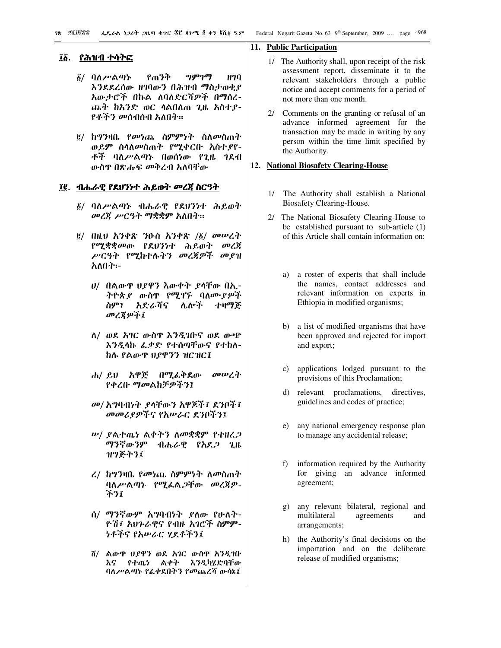#### ፲፩. <u>የሕዝብ ተሳትፎ</u>

- <u>፩/ ባለሥልጣኑ የጠንቅ ግምገማ ዘገባ</u> እንደደረሰው ዘገባውን በሕዝብ ማስታወቂያ አውታሮች በኩል ለባለድርሻዎች በማሰረ-ጨት ከአንድ ወር ሳልበለጠ ጊዜ አስተያ-የ*ቶችን መ*ሰብሰብ አለበት።
- <u>፪/ ከግንዛቤ የመነጨ ስምምነት ስለመስጠት</u> ወይም ስሳለመስጠት የሚቀርቡ አስተያየ-ቶች ባለሥልጣኑ በወሰነው የጊዜ ገደብ ውስዋ በጽሑፍ መቅረብ አለባቸው

## ፲፪. ብሔራዊ የደሀንነተ ሕይወት መረጃ ስርዓት

- ፩/ ባለሥልጣኑ ብሔራዊ የደሀንነተ ሕይወት መረጀ ሥርዓት ማቋቋም አለበት።
- $\tilde{g}/$  በዚህ አንቀጽ ንዑስ አንቀጽ / $\tilde{g}/$  መሥረት *የሚቋቋመ*ው የደህንነተ ሕይወት *መ*ረጀ ሥርዓት የሚከተሉትን መረጀዎች መያዝ አለበት፡-
	- $\bm{v}/\bm{\theta}$  በልውዋ  $\bm{v}$ ይዋን እውቀት ያሳቸው በኢ-*ት*ዮጵ*ያ ውስ*ዋ የሚገኙ ባለሙ*ያዎች* ስም፣ አድራሻና ሌሎች ተዛማጅ መረጀዎች፤
	- ለ/ ወደ አገር ውስዋ እንዲገቡና ወደ ውጭ እንዲላኩ ፌቃድ የተሰጣቸውና የተከለ-ከሉ የልውዋ ህያዋንን ዝርዝር፤
	- ሐ/ ይህ አዋጅ በሚፌቅደው መሠረት የቀረቡ ማመልከቻዎችን፤
	- መ/ አግባብነት ያላቸውን አዋጆች፣ ደንቦች፣ መመሪያዎችና የአሥራር ደንቦችን፤
	- ሥ/ ያልተጤነ ልቀትን ለመቋቋም የተዘረ*ጋ* ማንኛውንም ብሔራዊ የአደ*ጋ* ጊዜ ዝግጅትን፤
	- $\mathcal{L}/$  ከግንዛቤ የመነጨ ስምምነት ለመስጠት ባለሥልጣኑ የሚፌል,ጋቸው መረጃዎ-ችን፤
	- ሰ/ ማንኛውም አግባብነት ያለው የሁለት-ዮሽ፣ አህንራዊና የብዙ አገሮች ስምም-ንቶችና የአሥራር ሂደቶችን፤
	- ሽ/ ልውዋ ህያዋን ወደ አገር ውስዋ አንዲገቡ እና የተጨነ ልቀት እንዲካሂድባቸው ባለሥልጣኑ የፌቀደበትን የመጨረሻ ውሳኔ፤

#### **11. Public Participation**

- 1/ The Authority shall, upon receipt of the risk assessment report, disseminate it to the relevant stakeholders through a public notice and accept comments for a period of not more than one month.
- 2/ Comments on the granting or refusal of an advance informed agreement for the transaction may be made in writing by any person within the time limit specified by the Authority.

#### **12. National Biosafety Clearing-House**

- 1/ The Authority shall establish a National Biosafety Clearing-House.
- 2/ The National Biosafety Clearing-House to be established pursuant to sub-article (1) of this Article shall contain information on:
	- a) a roster of experts that shall include the names, contact addresses and relevant information on experts in Ethiopia in modified organisms;
	- b) a list of modified organisms that have been approved and rejected for import and export;
	- c) applications lodged pursuant to the provisions of this Proclamation;
	- d) relevant proclamations, directives, guidelines and codes of practice;
	- e) any national emergency response plan to manage any accidental release;
	- f) information required by the Authority for giving an advance informed agreement;
	- g) any relevant bilateral, regional and multilateral agreements and arrangements;
	- h) the Authority's final decisions on the importation and on the deliberate release of modified organisms;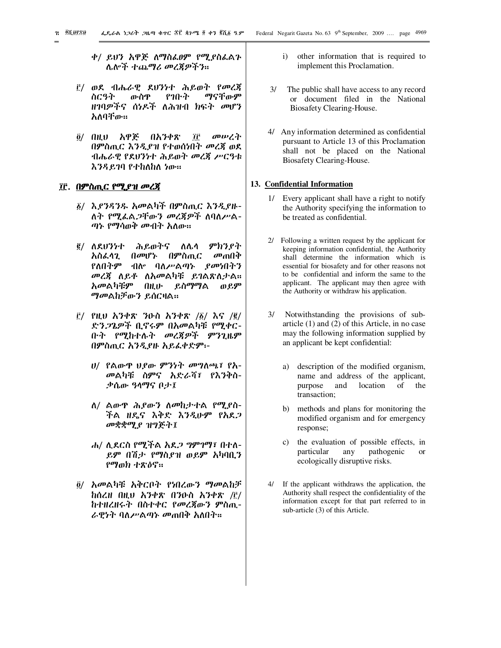- ቀ/ ይህን አዋጅ ለማስፌፀም የሚያስፌልጉ ሴሎች ተጨማሪ መረጃዎችን።
- ፫/ ወደ ብሔራዊ ደህን*ነ*ተ ሕይወት የመረጃ ስርዓት ውስዋ የገቡት ማናቸውም ዘገባዎችና ሰነዶች ለሕዝብ ክፍት መሆን አለባቸው፡፡
- ፬/ በዚህ አዋጅ በአንቀጽ ፲፫ መሥረት በምስጢር እንዲያዝ የተወሰነበት መረጃ ወደ ብሔራዊ የደህንነተ ሕይወት መረጃ ሥርዓቱ እንዳይገባ የተከለከለ ነው።

#### ፲፫. በምስጢር የሚያዝ መረጃ

- ፩/ እያንዳንዱ አመልካች በምስጢር እንዲያዙ-ለት የሚፌል*ጋ*ቸውን መረጃዎች ለባለሥል-ጣኑ የማሳወቅ መብት አለው።
- <sup>፪/</sup> ለደሀንነተ ሕይወትና ለሌላ ምክን*ያ*ት አስፌሳጊ በመሆኑ በምስጢር መጠበቅ የለበትም ብሎ ባለሥልጣኑ *ያሙ*ነበትን *መረጀ* ለይቶ ለአመልካቹ ይገልጽለታል። አመልካቹም በዚሁ ይስማማል ወይም *ማመ*ልከቻውን ይሰርዛል፡፡
- $\vec{E}$ / የዚህ አንቀጽ ንዑስ አንቀጽ /፩/ እና /፪/ ቡት *የሚ*ከተሉት መረጀዎች ምንጊዜም ድንጋጌዎች ቢኖሩም በአመልካቹ የሚቀር-በምስጢር አንዲያዙ አይፈቀድም፡-
	- ሀ/ የልውዋ ህያው ምንነት መግለጫ፣ የሕ-መልካቹ ስምና አድራሻ፣ የእንቅስ-.ቃሴው ዓላማና ቦታ፤
	- $\Lambda$ / ልውዋ ሕይውን ለመከታተል የሚያስ-ችል ዘዴና እቅድ እንዲሁም የአደ*ጋ* መቋቋሚያ ዝግጅት፤
	- ሐ/ ሲደርስ የሚችል *አደ.ጋ ግምገማ፣ በ*ተለ-ይም በሽታ የማስያዝ ወይም አካባቢን የማወክ ተጽዕኖ።
- ፬/ አመልካቹ አቅርቦት የነበረውን ማመልከቻ ከሰረዘ በዚህ አንቀጽ በንዑስ አንቀጽ /፫/ ከተዘረዘሩት በስተቀር የመረጀውን ምስጢ-ራዊነት ባለሥልጣኑ መጠበቅ አለበት።
- i) other information that is required to implement this Proclamation.
- 3/ The public shall have access to any record or document filed in the National Biosafety Clearing-House.
- 4/ Any information determined as confidential pursuant to Article 13 of this Proclamation shall not be placed on the National Biosafety Clearing-House.

## **13. Confidential Information**

- 1/ Every applicant shall have a right to notify the Authority specifying the information to be treated as confidential.
- 2/ Following a written request by the applicant for keeping information confidential, the Authority shall determine the information which is essential for biosafety and for other reasons not to be confidential and inform the same to the applicant. The applicant may then agree with the Authority or withdraw his application.
- 3/ Notwithstanding the provisions of subarticle (1) and (2) of this Article, in no case may the following information supplied by an applicant be kept confidential:
	- a) description of the modified organism, name and address of the applicant, purpose and location of the transaction;
	- b) methods and plans for monitoring the modified organism and for emergency response;
	- c) the evaluation of possible effects, in particular any pathogenic or ecologically disruptive risks.
- If the applicant withdraws the application, the Authority shall respect the confidentiality of the information except for that part referred to in sub-article (3) of this Article.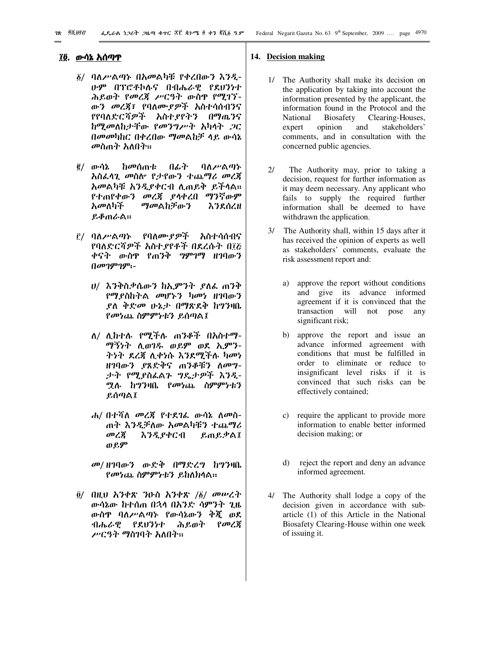#### ፲፬. <u>ውሳኔ አሰጣጥ</u>

- $\delta$ / ባለሥልጣኑ በአመልካቹ የቀረበውን እንዲ-ሁም በፕሮቶኮሉና በብሔራዊ የደሀንነተ ሕይወት የመረጃ ሥርዓት ውስዋ የሚገኘ-ውን መረጃ፣ የባለሙያዎች አስተሳሰብንና የየባለድርሻዎች አስተያየትን በማጤንና ከሚመለከታቸው የመንግሥት አካላት ጋር በመመካከር በቀረበው ማመልከቻ ላይ ውሳኔ *መ*ስጠት አለበት።
- <u>፪/ ውሳኔ ከመሰ</u>ጠቱ በፊት ባለሥልጣኑ <u>አስፌሳጊ መስሎ የታየውን ተጨማሪ መረጃ</u> አመልካቹ አንዲያቀርብ ሊጠይቅ ይችሳል። የተጠየቀውን መረጀ ያሳቀረበ ማንኛውም አመለካች ማመልከቻውን እንደሰረዘ ይቆጠራል።
- ፫/ ባለሥልጣኑ የባለሙያዎች አስተሳሰብና የባለድርሻዎች አስተያየቶች በደረሱት በ፲፩ ቀናት ውስዋ የጠንቅ *ግ*ምገማ ዘገባውን  $0$ ויס $9$ ויס $19$ 
	- ሀ/ እንቅስቃሴውን ከኢምንት ያለፌ ጠንቅ የማያስከትል መሆኑን ካመነ ዘገባውን *ያ*ለ ቅድ*መ* ሁኔታ በማጽደቅ ከግንዛቤ የመነጨ ስምምነቱን ይሰጣል፤
	- ማኝነት ሲወገዱ ወይም ወደ ኢምን-ለ/ ሊከተሉ የሚችሉ ጠንቆች በአስተማ-ትነት ደረጃ ሲቀነሱ እንደሚችሉ ካመነ ዘገባውን ያጸድቅና ጠንቆቹን ለመግ-ታት የሚያስፌልጉ ግዴታዎች እንዲ-ሟሉ ከግንዛቤ የ*መነ*ጨ ስምም*ነቱን* ይሰጣል፤
	- *ሐ/* በተሻለ *መረጀ የተደገ*ሬ ውሳኔ ለመስ-ጠት እንዲቻለው *አመ*ልካቹን ተጨማሪ መረጃ እንዲያቀርብ ይጠይቃል፤ ወይም
	- መ/ ዘገባውን ውድቅ በማድረግ ከግንዛቤ የመነጨ ስምምነቱን ይከለክላል።
- $\tilde{g}/$  በዚህ አንቀጽ ንዑስ አንቀጽ / $\tilde{g}/$  መሥረት ውሳኔው ከተሰጠ በኋላ በእንድ ሳምንት ጊዜ ውስዋ ባለሥልጣኑ የውሳኔውን ቅጂ ወደ ብሔራዊ የደሀንነተ ሕይወት የመረጀ ሥርዓት ማስገባት አለበት።

#### **14. Decision making**

- 1/ The Authority shall make its decision on the application by taking into account the information presented by the applicant, the information found in the Protocol and the National Biosafety Clearing-Houses, expert opinion and stakeholders' comments, and in consultation with the concerned public agencies.
- 2/ The Authority may, prior to taking a decision, request for further information as it may deem necessary. Any applicant who fails to supply the required further information shall be deemed to have withdrawn the application.
- 3/ The Authority shall, within 15 days after it has received the opinion of experts as well as stakeholders' comments, evaluate the risk assessment report and:
	- a) approve the report without conditions and give its advance informed agreement if it is convinced that the transaction will not pose any significant risk;
	- b) approve the report and issue an advance informed agreement with conditions that must be fulfilled in order to eliminate or reduce to insignificant level risks if it is convinced that such risks can be effectively contained;
	- c) require the applicant to provide more information to enable better informed decision making; or
	- d) reject the report and deny an advance informed agreement.
- 4/ The Authority shall lodge a copy of the decision given in accordance with subarticle (1) of this Article in the National Biosafety Clearing-House within one week of issuing it.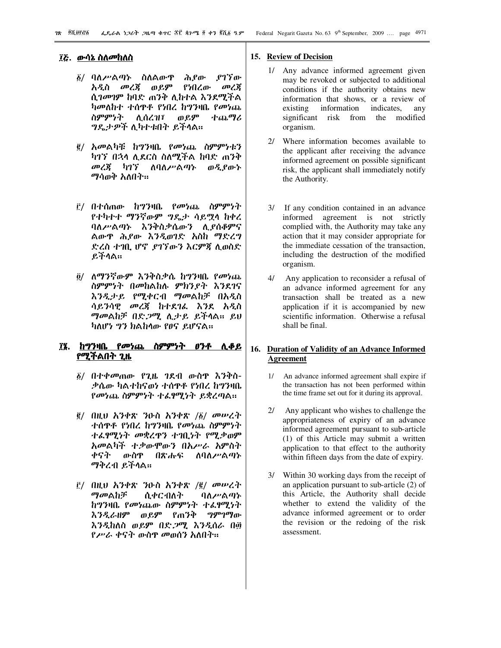#### ፲፭. ውሳኔ ስለመከለስ

- ፩/ ባለ*ሥ*ልጣኑ ስለልውዋ ሕያው .የገኘው አዲስ መረጃ ወይም የነበረው መረጀ ሲገመገም ከባድ ጠንቅ ሊከተል እንደሚችል ካመለከተ ተሰዋቶ የነበረ ከግንዛቤ የመነጨ ስምምነት ተጨማሪ ሲሰረዝ፣ ወይም ግዴታዎች ሊካተቱበት ይችላል።
- ፪/ አመልካቹ ከግንዛቤ የመነጨ ስምምነቱን ካገኘ በኋላ ሊደርስ ስለሚችል ከባድ ጠንቅ መረጀ ካገኘ ለባለሥልጣኑ ወዲያውኑ ማሳወቅ አለበት።
- ፫/ በተሰጠው ከግንዛቤ የመነጨ ስ**ምም**ነት የተካተተ ማንኛውም ግዴታ ሳይሟላ ከቀረ ባለሥልጣኑ እንቅስቃሴውን ሊያሰቆምና ልውዋ ሕያው እንዲወገድ እስከ ማድረግ ድረስ ተገቢ ሆኖ የገኘውን እርምጃ ሲወስድ ይችሳል።
- ፬/ ለማንኛውም እንቅስቃሴ ከግንዛቤ የመነጨ ስምምነት በመከልከሉ ምክንያት እንደገና እንዲታይ የሚቀርብ ማመልከቻ በአዲስ ሳይንሳዊ መረጃ ከተደገሬ እንደ አዲስ ማመልከቻ በድ*ጋ*ሚ ሲታይ ይችላል። ይህ ካለሆነ ግን ክልከላው የፀና ይሆናል።

# ፲፯. ከግንዛቤ የመነጨ ስምምነት ፀንቶ ሊቆይ የሚችልበት ጊዜ

- $\tilde{g}/$  በተቀመጠው የጊዜ ገደብ ውስዋ እንቅስ-ቃሴው ካልተከናወነ ተሰዋቶ የነበረ ከግንዛቤ የመነጨ ስምምነት ተፈፃሚነት ይቋረጣል።
- $\tilde{g}/$  በዚህ አንቀጽ ንዑስ አንቀጽ / $\tilde{g}/$  መሥረት ተሰዋቶ የነበረ ከግንዛቤ የመነጨ ስምምነት ተራየሚነት መቋረዋን ተገቢነት የሚቃወም አመልካች ተቃውሞውን በአሥራ አምስት ቀናት ውስዋ በጽሑፍ ለባለሥልጣኑ ማቅረብ ይችላል።
- $\mathbf{E}/$  በዚህ አንቀጽ ንዑስ አንቀጽ / $\mathbf{E}/$  መሥረት ማመልከቻ ሲቀርብለት ባለሥልጣኑ ከግንዛቤ የመነጨው ስምምነት ተፈፃሚነት እንዲራዘም ወይም የጠንቅ ግምገማው እንዲከለስ ወይም በድ*ጋሚ* እንዲሰራ በ፴ የሥራ ቀናት ውስዋ መወሰን አለበት።

#### 15. Review of Decision

- 1/ Any advance informed agreement given may be revoked or subjected to additional conditions if the authority obtains new information that shows, or a review of existing information indicates. anv significant risk from the modified organism.
- $2l$ Where information becomes available to the applicant after receiving the advance informed agreement on possible significant risk, the applicant shall immediately notify the Authority.
- If any condition contained in an advance  $31$ informed agreement is not strictly complied with, the Authority may take any action that it may consider appropriate for the immediate cessation of the transaction. including the destruction of the modified organism.
- $\Delta l$ Any application to reconsider a refusal of an advance informed agreement for any transaction shall be treated as a new application if it is accompanied by new scientific information. Otherwise a refusal shall be final.

## 16. Duration of Validity of an Advance Informed **Agreement**

- 1/ An advance informed agreement shall expire if the transaction has not been performed within the time frame set out for it during its approval.
- $2l$ Any applicant who wishes to challenge the appropriateness of expiry of an advance informed agreement pursuant to sub-article (1) of this Article may submit a written application to that effect to the authority within fifteen days from the date of expiry.
- Within 30 working days from the receipt of an application pursuant to sub-article (2) of this Article, the Authority shall decide whether to extend the validity of the advance informed agreement or to order the revision or the redoing of the risk assessment.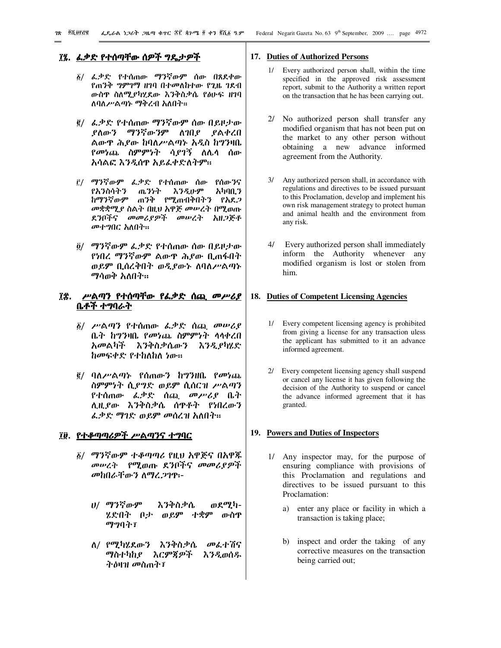## ፲፯. <u>ፌቃድ የተሰጣቸው ሰዎች ግዴታዎች</u>

- ፩/ ፌቃድ የተሰጠው ማንኛውም ሰው በጸደቀው የጠንቅ *ግምገማ ዘገ*ባ በተመለከተው የጊዜ ገደብ ውስዋ ስለሚያካሂደው እንቅስቃሴ የፅሁፍ ዘገባ ለባለሥልጣኑ ማቅረብ አለበት።
- e/ ፌቃድ የተሰጠው ማንኛውም ሰው በይዞታው ደለውን ማንኛውንም ለገበደ ደልቀረበ ልውዋ ሕያው ከባለሥልጣኑ አዲስ ከግንዛቤ *የመነ*ጨ ስምምነት ሳ*ያገ*ኝ ስሌሳ ሰው አሳልፎ እንዲሰዋ አይፌቀድለትም።
- ፫/ ማንኛውም ፌቃድ የተሰጠው ሰው የሰውንና የአንስሳትን ጤንነት እንዲሁም አካባቢን ከማንኛውም ጠንቅ የሚጠብቅበትን የአደ*ጋ* መቋቋሚያ ስልት በዚህ አዋጅ መሠረት በሚወጡ ደንቦችና መመሪያዎች መሠረት አዘጋጅቶ መተግበር አለበት።
- ፬/ ማንኛውም ፌቃድ የተሰጠው ሰው በይዞታው የነበረ ማንኛውም ልውዋ ሕያው ቢጠፋበት ወይም ቢሰረቅበት ወዲያውኑ ለባለሥልጣኑ ማሳወቅ አለበት።

# ፲፰. ሥልጣን የተሰጣቸው የፌቃድ ሰጪ መሥሪያ ቤቶች ተግባራት

- ፩/ ሥልጣን የተሰጠው ፌቃድ ሰጪ መሠሪያ ቤት ከግንዛቤ የመነጨ ስምምነት ሳሳቀረበ አመልካች እንቅስቃሴውን እንዲያካሄድ ከመፍቀድ የተከለከለ ነው።
- *፪/ ባለሥልጣኑ የሰጠውን ከግንዘቤ የመነጨ* ስምምነት ሲያግድ ወይም ሲሰርዝ ሥልጣን የተሰጠው *ፌ*ቃድ ሰጪ *መሥሪያ* ቤት ሊዚያው እንቅስቃሴ ሰዋቶት የነበረውን ፌቃድ ማገድ ወይም መሰረዝ አለበት።

#### ፲፱. <u>የተቆጣጣሪዎች ሥልጣንና ተግባር</u>

- ፩/ ማንኛውም ተቆጣጣሪ የዚህ አዋጅና በአዋጁ መሠረት የሚወጡ ደንቦችና መመሪያዎች መከበራቸውን ለማረጋገዋ፡-
	- ሀ/ ማንኛውም ወደሚካ-እንቅስቃሴ ሂድበት በታ ወይም ተቋም ውስዋ ማግባት፣
	- ለ/ የሚካሄደውን እንቅስቃሴ መፌተሽና ማስተካከያ እርምጃዎች እንዲወሰዱ ትስዛዝ መስጠት፤

#### 17. Duties of Authorized Persons

- 1/ Every authorized person shall, within the time specified in the approved risk assessment report, submit to the Authority a written report on the transaction that he has been carrying out.
- $2l$ No authorized person shall transfer any modified organism that has not been put on the market to any other person without obtaining a new advance informed agreement from the Authority.
- Any authorized person shall, in accordance with  $3/$ regulations and directives to be issued pursuant to this Proclamation, develop and implement his own risk management strategy to protect human and animal health and the environment from any risk.
- $4/$ Every authorized person shall immediately inform the Authority whenever any modified organism is lost or stolen from him.

## 18. Duties of Competent Licensing Agencies

- Every competent licensing agency is prohibited from giving a license for any transaction uless the applicant has submitted to it an advance informed agreement.
- $2l$ Every competent licensing agency shall suspend or cancel any license it has given following the decision of the Authority to suspend or cancel the advance informed agreement that it has granted.

#### 19. Powers and Duties of Inspectors

- 1/ Any inspector may, for the purpose of ensuring compliance with provisions of this Proclamation and regulations and directives to be issued pursuant to this Proclamation:
	- a) enter any place or facility in which a transaction is taking place;
	- $b)$ inspect and order the taking of any corrective measures on the transaction being carried out;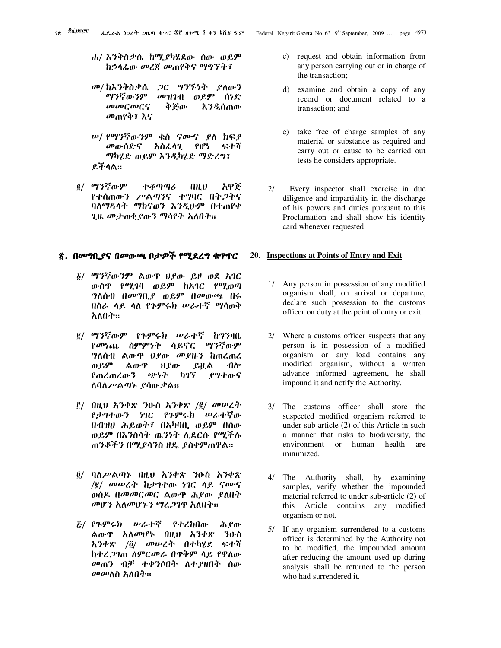- *ሐ*/ እንቅስቃሴ ከሚያካሂደው ሰው ወይም ከኃላፊው መረጃ መጠየቅና ማግኘት፣
- መ/ ከእንቅስቃሴ ጋር ግንኙነት ያለውን ማንኛውንም መዝገብ ወይም ሰነድ መመርመርና ቅጅው እንዲሰጠው መጠየቅ፣ እና
- ሥ/ የማንኛውንም ቁስ ናሙና ያለ ክፍያ *መ*ውሰድና አስፌሳጊ የሆነ ፍተሻ ማካሂድ ወይም እንዲካሂድ ማድረግ፣ ይችላል።
- ፪/ ማንኛውም ተቆጣጣሪ በዚህ አዋጅ የተሰጠውን ሥልጣንና ተግባር በት*ጋ*ትና ባለማዳላት ማከናወን እንዲሁም በተጠየቀ ጊዜ መታወቂያውን ማሳየት አለበት።

#### <u>፳. በመግቢያና በመውጫ ቦታዎች የሚደረግ ቁዋዋር</u>

- $\delta$ / ማንኛውንም ልውዋ ሀያው ይዞ ወደ አገር ውስዋ የሚገባ ወይም ከአገር የሚወጣ ግለሰብ በመግቢያ ወይም በመውጫ በሩ በስራ ላይ ላለ የንምሩክ ሥራተኛ ማሳወቅ አለበት።
- $\underline{\overline{e}}$ / ማንኛውም የጉምሩክ ሥራተኛ ከግንዛቤ የመነጨ ስምምነት ሳይኖር ማንኛውም *ግ*ለሰብ ልውዋ *ህያው መያዙን* ከጠረጠረ ወይም ልውዋ ሀያው ይዟል ብሎ የጠረጠረውን ጭነት ካገኘ ያግተውና ስባስሥልጣኑ ያሳውቃል።
- ፫/ በዚህ አንቀጽ ንዑስ አንቀጽ /፪/ መሥረት የታገተውን ነገር የጉምሩክ ሥራተኛው በብዝሀ ሕይወት፣ በአካባቢ ወይም በሰው ወይም በእንስሳት ጤንነት ሲደርሱ የሚችሉ ጠንቆችን በሚያሳንስ ዘዴ ያስቀምጠዋል።
- $\ddot{\theta}$ / ባለሥልጣኑ በዚህ አንቀጽ ንዑስ አንቀጽ /፪/ መሠረት ከታገተው ነገር ላይ ናሙና ወስዶ በመመርመር ልውዋ ሕያው ያስበት መሆን አለመሆኑን ማረ*ጋ*ገዋ አለበት።
- $\vec{g}$ / የጉምሩክ ሥራተኛ የተረከበው ሕደው ልውዋ *አ*ለመሆኑ በዚህ *አንቀጽ ን*ውስ *ኢንቀጽ /፬/ መሡረት በተካሂ*ደ ፍተሻ ከተረ*ጋገ*ጠ ስምርመራ በዋቅም ላይ የዋስው መጠን ብቻ ተቀንሶበት ለተያዘበት ሰው መመለስ አለበት።
- c) request and obtain information from any person carrying out or in charge of the transaction;
- d) examine and obtain a copy of any record or document related to a transaction; and
- e) take free of charge samples of any material or substance as required and carry out or cause to be carried out tests he considers appropriate.
- 2/ Every inspector shall exercise in due diligence and impartiality in the discharge of his powers and duties pursuant to this Proclamation and shall show his identity card whenever requested.

#### **20. Inspections at Points of Entry and Exit**

- 1/ Any person in possession of any modified organism shall, on arrival or departure, declare such possession to the customs officer on duty at the point of entry or exit.
- 2/ Where a customs officer suspects that any person is in possession of a modified organism or any load contains any modified organism, without a written advance informed agreement, he shall impound it and notify the Authority.
- 3/ The customs officer shall store the suspected modified organism referred to under sub-article (2) of this Article in such a manner that risks to biodiversity, the environment or human health are minimized.
- 4/ The Authority shall, by examining samples, verify whether the impounded material referred to under sub-article (2) of this Article contains any modified organism or not.
- 5/ If any organism surrendered to a customs officer is determined by the Authority not to be modified, the impounded amount after reducing the amount used up during analysis shall be returned to the person who had surrendered it.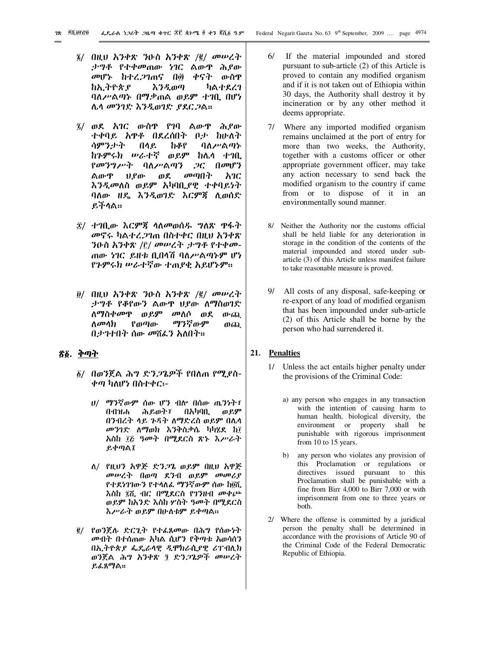- $\tilde{g}/$  በዚህ አንቀጽ ንዑስ አንቀጽ / $\tilde{g}/$  መሥረት ታግቶ የተቀመጠው ነገር ልውዋ ሕ*ያ*ው መሆኑ ከተረ.2ገጠና በ፴ ቀናት ውስዋ ከኢትዮጵያ እንዲወጣ ካልተደረገ ባለሥልጣኑ በማቃጠል ወይም ተገቢ በሆነ ሌሳ መንገድ እንዲወገድ *ያ*ደር*ጋ*ል።
- $\tilde{A}$ / ወደ አገር ውስዋ የገባ ልውዋ ሕይው ተቀባይ አዋቶ በደረሰበት ቦታ ከሁለት ሳምንታት በላይ ከቆየ ባለሥልጣኑ ከጉምሩክ ሥራተኛ ወይም ከሌላ ተገቢ የመንግሥት ባለሥልጣን ጋር በመሆን ልውዋ *ህያ*ው ወደ መጣበት *አገ*ር እንዲመለስ ወይም አካባቢያዊ ተቀባይነት ባለው ዘዴ እንዲወገድ እርምጃ ሊወሰድ ይችሳል።
- ፰/ ተገቢው እርምጃ ላለመወሰዱ ግለጽ ዋፋት መኖሩ ካልተረ*ጋ*ገጠ በስተቀር በዚህ አንቀጽ ጠው *ነገ*ር ይዘቱ ቢበሳሽ ባለ*ሥ*ልጣኑም ሆነ ንዑስ አንቀጽ /፫/ መሠረት ታግቶ የተቀመ-የጉምሩክ ሥራተኛው ተጠያቂ አይሆኑም።
- ፱/ በዚህ አንቀጽ ንዑስ አንቀጽ /፪/ መሥረት ታግቶ የቆየውን ልውዋ ህያው ለማስወገድ ለማስቀመዋ ወይም መለሶ ወደ ውጪ ለመላክ የወጣው ማንኛውም ወጪ በታንተበት ሰው መሽፌን አለበት።

# <u>ኛ፩. ቅጣት</u>

- ፩/ በወንጀል ሕግ ድን*ጋ*ጌዎች የበለጠ የሚያስ-ቀጣ ካለሆነ በስተቀር፡-
	- $U/$  ማንኛውም ሰው ሆን ብሎ በሰው ጤንነት፣ በብዝሐ ሕይወት፣ በአካባቢ ወይም በንብረት ላይ ንዳት ለማድረስ ወይም በሌላ መንገድ ለማወክ እንቅስቃሴ ካካሂደ ከ፲ <u>አስከ ፲፭ ዓመት በሚ</u>ደርስ ጽኑ *እሥራት* ይቀጣል፤
	- ስ/ የዚህን አዋጅ ድንጋጌ ወይም በዚህ አዋጅ መሠረት በወጣ ደንብ ወይም መመሪያ የተደነገገውን የተሳለፌ ማንኛውም ሰው ከ፬ሺ እስከ ፯ሺ ብር በሚደርስ የገንዘብ መቀጮ ወይም ከአንድ እስከ ሦስት ዓመት በሚደርስ እሥራት ወይም በሁለቱም ይቀጣል።
- ፪/ የወንጀሉ ድርጊት የተሬጸመው በሕግ የሰውነት *መ*ብት በተሰጠው አካል ሲሆን የቅጣቱ አወሳሰን በኢትዮጵያ ፌዴራሳዊ ዲሞክራሲያዊ ሪፐብሊክ ወንጀል ሕግ አንቀጽ ፺ ድን*ጋ*ጌዎች መሥረት ይፌጸማል።
- 6/ If the material impounded and stored pursuant to sub-article (2) of this Article is proved to contain any modified organism and if it is not taken out of Ethiopia within 30 days, the Authority shall destroy it by incineration or by any other method it deems appropriate.
- 7/ Where any imported modified organism remains unclaimed at the port of entry for more than two weeks, the Authority, together with a customs officer or other appropriate government officer, may take any action necessary to send back the modified organism to the country if came from or to dispose of it in an environmentally sound manner.
- 8/ Neither the Authority nor the customs official shall be held liable for any deterioration in storage in the condition of the contents of the material impounded and stored under subarticle (3) of this Article unless manifest failure to take reasonable measure is proved.
- 9/ All costs of any disposal, safe-keeping or re-export of any load of modified organism that has been impounded under sub-article (2) of this Article shall be borne by the person who had surrendered it.

#### **21. Penalties**

- 1/ Unless the act entails higher penalty under the provisions of the Criminal Code:
	- a) any person who engages in any transaction with the intention of causing harm to human health, biological diversity, the environment or property shall be punishable with rigorous imprisonment from 10 to 15 years.
	- any person who violates any provision of this Proclamation or regulations or directives issued pursuant to this Proclamation shall be punishable with a fine from Birr 4,000 to Birr 7,000 or with imprisonment from one to three years or both.
- 2/ Where the offense is committed by a juridical person the penalty shall be determined in accordance with the provisions of Article 90 of the Criminal Code of the Federal Democratic Republic of Ethiopia.